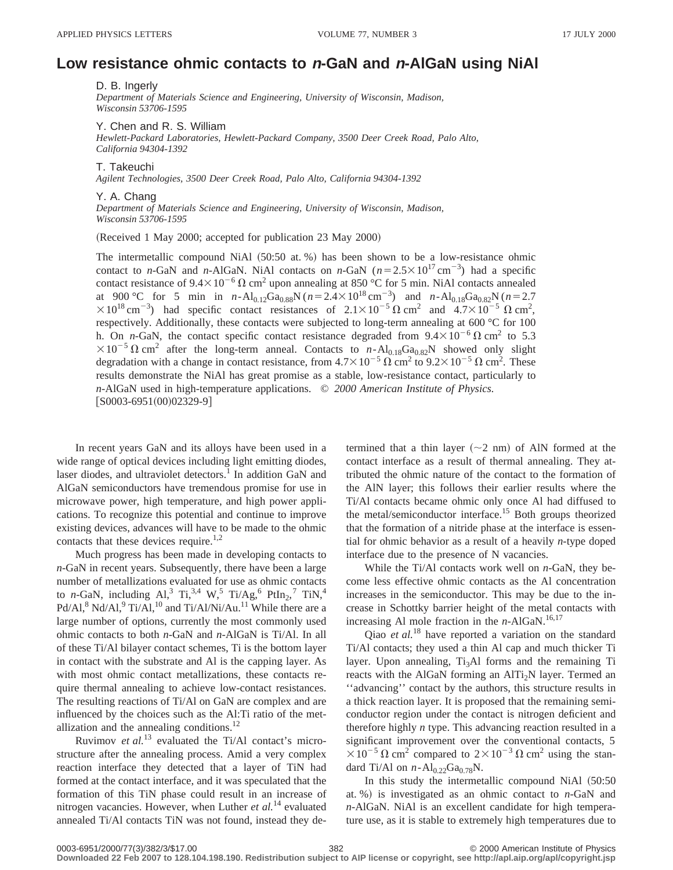## **Low resistance ohmic contacts to <sup>n</sup>-GaN and <sup>n</sup>-AlGaN using NiAl**

D. B. Ingerly

*Department of Materials Science and Engineering, University of Wisconsin, Madison, Wisconsin 53706-1595*

Y. Chen and R. S. William

*Hewlett-Packard Laboratories, Hewlett-Packard Company, 3500 Deer Creek Road, Palo Alto, California 94304-1392*

T. Takeuchi

*Agilent Technologies, 3500 Deer Creek Road, Palo Alto, California 94304-1392*

Y. A. Chang

*Department of Materials Science and Engineering, University of Wisconsin, Madison, Wisconsin 53706-1595*

 $(Received 1 May 2000; accepted for publication 23 May 2000)$ 

The intermetallic compound NiAl  $(50:50$  at. %) has been shown to be a low-resistance ohmic contact to *n*-GaN and *n*-AlGaN. NiAl contacts on *n*-GaN  $(n=2.5\times10^{17} \text{ cm}^{-3})$  had a specific contact resistance of  $9.4\times10^{-6} \Omega$  cm<sup>2</sup> upon annealing at 850 °C for 5 min. NiAl contacts annealed at 900 °C for 5 min in  $n-Al_{0.12}Ga_{0.88}N (n=2.4\times10^{18} \text{ cm}^{-3})$  and  $n-Al_{0.18}Ga_{0.82}N (n=2.7)$  $\times 10^{18} \text{ cm}^{-3}$ ) had specific contact resistances of  $2.1 \times 10^{-5} \Omega \text{ cm}^2$  and  $4.7 \times 10^{-5} \Omega \text{ cm}^2$ , respectively. Additionally, these contacts were subjected to long-term annealing at 600 °C for 100 h. On *n*-GaN, the contact specific contact resistance degraded from  $9.4 \times 10^{-6} \Omega$  cm<sup>2</sup> to 5.3  $\times 10^{-5} \Omega \text{ cm}^2$  after the long-term anneal. Contacts to *n*-Al<sub>0.18</sub>Ga<sub>0.82</sub>N showed only slight degradation with a change in contact resistance, from  $4.7\times10^{-5} \Omega \text{ cm}^2$  to  $9.2\times10^{-5} \Omega \text{ cm}^2$ . These results demonstrate the NiAl has great promise as a stable, low-resistance contact, particularly to *n*-AlGaN used in high-temperature applications. © *2000 American Institute of Physics.*  $[$ S0003-6951 $(00)$ 02329-9 $]$ 

In recent years GaN and its alloys have been used in a wide range of optical devices including light emitting diodes, laser diodes, and ultraviolet detectors.<sup>1</sup> In addition GaN and AlGaN semiconductors have tremendous promise for use in microwave power, high temperature, and high power applications. To recognize this potential and continue to improve existing devices, advances will have to be made to the ohmic contacts that these devices require.<sup>1,2</sup>

Much progress has been made in developing contacts to *n*-GaN in recent years. Subsequently, there have been a large number of metallizations evaluated for use as ohmic contacts to *n*-GaN, including Al,<sup>3</sup> Ti,<sup>3,4</sup> W,<sup>5</sup> Ti/Ag,<sup>6</sup> PtIn<sub>2</sub>,<sup>7</sup> TiN,<sup>4</sup> Pd/Al,<sup>8</sup> Nd/Al,<sup>9</sup> Ti/Al,<sup>10</sup> and Ti/Al/Ni/Au.<sup>11</sup> While there are a large number of options, currently the most commonly used ohmic contacts to both *n*-GaN and *n*-AlGaN is Ti/Al. In all of these Ti/Al bilayer contact schemes, Ti is the bottom layer in contact with the substrate and Al is the capping layer. As with most ohmic contact metallizations, these contacts require thermal annealing to achieve low-contact resistances. The resulting reactions of Ti/Al on GaN are complex and are influenced by the choices such as the Al:Ti ratio of the metallization and the annealing conditions.<sup>12</sup>

Ruvimov *et al.*<sup>13</sup> evaluated the Ti/Al contact's microstructure after the annealing process. Amid a very complex reaction interface they detected that a layer of TiN had formed at the contact interface, and it was speculated that the formation of this TiN phase could result in an increase of nitrogen vacancies. However, when Luther *et al.*<sup>14</sup> evaluated annealed Ti/Al contacts TiN was not found, instead they determined that a thin layer  $({\sim}2$  nm) of AlN formed at the contact interface as a result of thermal annealing. They attributed the ohmic nature of the contact to the formation of the AlN layer; this follows their earlier results where the Ti/Al contacts became ohmic only once Al had diffused to the metal/semiconductor interface.<sup>15</sup> Both groups theorized that the formation of a nitride phase at the interface is essential for ohmic behavior as a result of a heavily *n*-type doped interface due to the presence of N vacancies.

While the Ti/Al contacts work well on *n*-GaN, they become less effective ohmic contacts as the Al concentration increases in the semiconductor. This may be due to the increase in Schottky barrier height of the metal contacts with increasing Al mole fraction in the  $n$ -AlGaN.<sup>16,17</sup>

Qiao *et al.*<sup>18</sup> have reported a variation on the standard Ti/Al contacts; they used a thin Al cap and much thicker Ti layer. Upon annealing,  $Ti<sub>3</sub>Al$  forms and the remaining Ti reacts with the AlGaN forming an  $\text{AITi}_2\text{N}$  layer. Termed an ''advancing'' contact by the authors, this structure results in a thick reaction layer. It is proposed that the remaining semiconductor region under the contact is nitrogen deficient and therefore highly *n* type. This advancing reaction resulted in a significant improvement over the conventional contacts, 5  $\times 10^{-5} \Omega \text{ cm}^2$  compared to  $2\times 10^{-3} \Omega \text{ cm}^2$  using the standard Ti/Al on  $n - Al_{0.22}Ga_{0.78}N$ .

In this study the intermetallic compound NiAl  $(50:50)$ at.  $%$ ) is investigated as an ohmic contact to *n*-GaN and *n*-AlGaN. NiAl is an excellent candidate for high temperature use, as it is stable to extremely high temperatures due to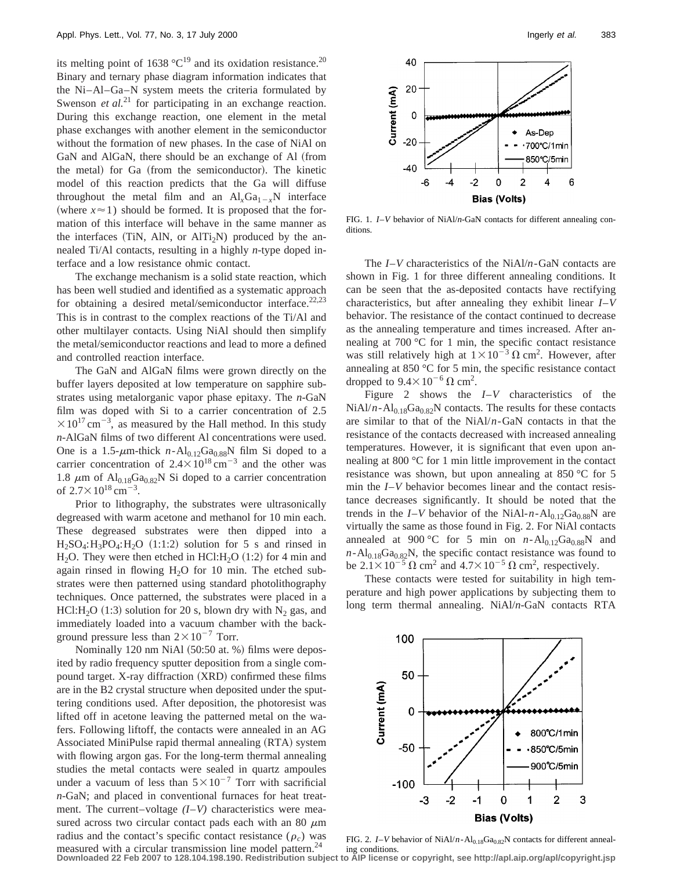its melting point of 1638  $^{\circ}C^{19}$  and its oxidation resistance.<sup>20</sup> Binary and ternary phase diagram information indicates that the Ni–Al–Ga–N system meets the criteria formulated by Swenson *et al.*<sup>21</sup> for participating in an exchange reaction. During this exchange reaction, one element in the metal phase exchanges with another element in the semiconductor without the formation of new phases. In the case of NiAl on GaN and AlGaN, there should be an exchange of Al (from the metal) for Ga (from the semiconductor). The kinetic model of this reaction predicts that the Ga will diffuse throughout the metal film and an  $Al_xGa_{1-x}N$  interface (where  $x \approx 1$ ) should be formed. It is proposed that the formation of this interface will behave in the same manner as the interfaces  $(TiN, AlN, or AlTi<sub>2</sub>N)$  produced by the annealed Ti/Al contacts, resulting in a highly *n*-type doped interface and a low resistance ohmic contact.

The exchange mechanism is a solid state reaction, which has been well studied and identified as a systematic approach for obtaining a desired metal/semiconductor interface.<sup>22,23</sup> This is in contrast to the complex reactions of the Ti/Al and other multilayer contacts. Using NiAl should then simplify the metal/semiconductor reactions and lead to more a defined and controlled reaction interface.

The GaN and AlGaN films were grown directly on the buffer layers deposited at low temperature on sapphire substrates using metalorganic vapor phase epitaxy. The *n*-GaN film was doped with Si to a carrier concentration of 2.5  $\times 10^{17}$  cm<sup>-3</sup>, as measured by the Hall method. In this study *n*-AlGaN films of two different Al concentrations were used. One is a 1.5- $\mu$ m-thick *n*-Al<sub>0.12</sub>Ga<sub>0.88</sub>N film Si doped to a carrier concentration of  $2.4 \times 10^{18}$  cm<sup>-3</sup> and the other was 1.8  $\mu$ m of Al<sub>0.18</sub>Ga<sub>0.82</sub>N Si doped to a carrier concentration of  $2.7 \times 10^{18}$  cm<sup>-3</sup>.

Prior to lithography, the substrates were ultrasonically degreased with warm acetone and methanol for 10 min each. These degreased substrates were then dipped into a  $H_2SO_4$ :  $H_3PO_4$ :  $H_2O$  (1:1:2) solution for 5 s and rinsed in H<sub>2</sub>O. They were then etched in HCl:H<sub>2</sub>O  $(1:2)$  for 4 min and again rinsed in flowing  $H_2O$  for 10 min. The etched substrates were then patterned using standard photolithography techniques. Once patterned, the substrates were placed in a HCl:H<sub>2</sub>O (1:3) solution for 20 s, blown dry with N<sub>2</sub> gas, and immediately loaded into a vacuum chamber with the background pressure less than  $2\times10^{-7}$  Torr.

Nominally 120 nm NiAl  $(50:50$  at. %) films were deposited by radio frequency sputter deposition from a single compound target. X-ray diffraction (XRD) confirmed these films are in the B2 crystal structure when deposited under the sputtering conditions used. After deposition, the photoresist was lifted off in acetone leaving the patterned metal on the wafers. Following liftoff, the contacts were annealed in an AG Associated MiniPulse rapid thermal annealing (RTA) system with flowing argon gas. For the long-term thermal annealing studies the metal contacts were sealed in quartz ampoules under a vacuum of less than  $5 \times 10^{-7}$  Torr with sacrificial *n*-GaN; and placed in conventional furnaces for heat treatment. The current–voltage *(I*–*V)* characteristics were measured across two circular contact pads each with an 80  $\mu$ m radius and the contact's specific contact resistance  $(\rho_c)$  was measured with a circular transmission line model pattern.<sup>24</sup>



FIG. 1. *I*–*V* behavior of NiAl/*n*-GaN contacts for different annealing conditions.

The *I*–*V* characteristics of the NiAl/*n*-GaN contacts are shown in Fig. 1 for three different annealing conditions. It can be seen that the as-deposited contacts have rectifying characteristics, but after annealing they exhibit linear *I*–*V* behavior. The resistance of the contact continued to decrease as the annealing temperature and times increased. After annealing at 700 °C for 1 min, the specific contact resistance was still relatively high at  $1 \times 10^{-3} \Omega \text{ cm}^2$ . However, after annealing at 850 °C for 5 min, the specific resistance contact dropped to  $9.4 \times 10^{-6}$   $\Omega$  cm<sup>2</sup>.

Figure 2 shows the *I*–*V* characteristics of the  $NiAl/n-Al<sub>0.18</sub>Ga<sub>0.82</sub>N$  contacts. The results for these contacts are similar to that of the NiAl/*n*-GaN contacts in that the resistance of the contacts decreased with increased annealing temperatures. However, it is significant that even upon annealing at 800 °C for 1 min little improvement in the contact resistance was shown, but upon annealing at 850 °C for 5 min the *I*–*V* behavior becomes linear and the contact resistance decreases significantly. It should be noted that the trends in the  $I-V$  behavior of the NiAl- $n - Al_{0.12}Ga_{0.88}N$  are virtually the same as those found in Fig. 2. For NiAl contacts annealed at 900 °C for 5 min on  $n - Al_{0.12}Ga_{0.88}N$  and  $n - A$ <sub>0.18</sub>Ga<sub>0.82</sub>N, the specific contact resistance was found to be  $2.1 \times 10^{-5} \Omega \text{ cm}^2$  and  $4.7 \times 10^{-5} \Omega \text{ cm}^2$ , respectively.

These contacts were tested for suitability in high temperature and high power applications by subjecting them to long term thermal annealing. NiAl/*n*-GaN contacts RTA



FIG. 2. *I*–*V* behavior of NiAl/*n*-Al<sub>0.18</sub>Ga<sub>0.82</sub>N contacts for different anneal-

ing conditions. **Downloaded 22 Feb 2007 to 128.104.198.190. Redistribution subject to AIP license or copyright, see http://apl.aip.org/apl/copyright.jsp**